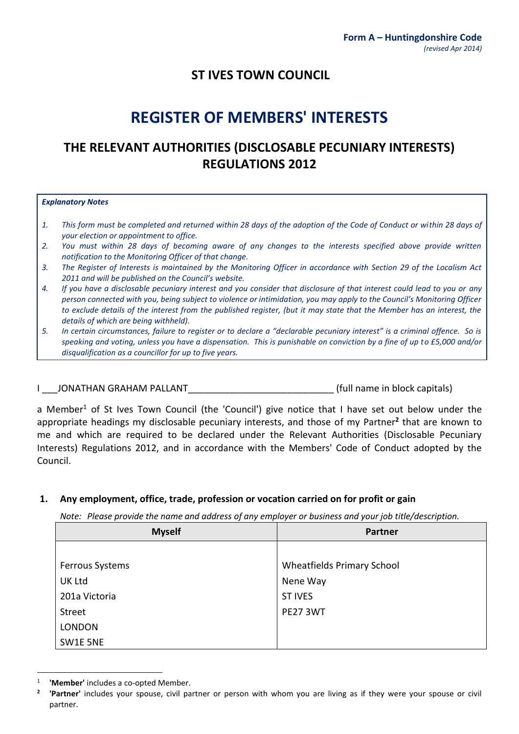# **ST IVES TOWN COUNCIL**

# **REGISTER OF MEMBERS' INTERESTS**

# **THE RELEVANT AUTHORITIES (DISCLOSABLE PECUNIARY INTERESTS) REGULATIONS 2012**

#### *Explanatory Notes*

- *1. This form must be completed and returned within 28 days of the adoption of the Code of Conduct or within 28 days of your election or appointment to office.*
- *2. You must within 28 days of becoming aware of any changes to the interests specified above provide written notification to the Monitoring Officer of that change.*
- *3. The Register of Interests is maintained by the Monitoring Officer in accordance with Section 29 of the Localism Act 2011 and will be published on the Council's website.*
- *4. If you have a disclosable pecuniary interest and you consider that disclosure of that interest could lead to you or any person connected with you, being subject to violence or intimidation, you may apply to the Council's Monitoring Officer to exclude details of the interest from the published register, (but it may state that the Member has an interest, the details of which are being withheld).*
- *5. In certain circumstances, failure to register or to declare a "declarable pecuniary interest" is a criminal offence. So is speaking and voting, unless you have a dispensation. This is punishable on conviction by a fine of up to £5,000 and/or disqualification as a councillor for up to five years.*

I LONATHAN GRAHAM PALLANT THE SECOND RESERVE (full name in block capitals)

a Member<sup>1</sup> of St Ives Town Council (the 'Council') give notice that I have set out below under the appropriate headings my disclosable pecuniary interests, and those of my Partner**<sup>2</sup>** that are known to me and which are required to be declared under the Relevant Authorities (Disclosable Pecuniary Interests) Regulations 2012, and in accordance with the Members' Code of Conduct adopted by the Council.

#### **1. Any employment, office, trade, profession or vocation carried on for profit or gain**

*Note: Please provide the name and address of any employer or business and your job title/description.*

| <b>Myself</b>   | <b>Partner</b>                    |
|-----------------|-----------------------------------|
|                 |                                   |
| Ferrous Systems | <b>Wheatfields Primary School</b> |
| <b>UK Ltd</b>   | Nene Way                          |
| 201a Victoria   | <b>ST IVES</b>                    |
| <b>Street</b>   | <b>PE27 3WT</b>                   |
| <b>LONDON</b>   |                                   |
| SW1E 5NE        |                                   |

<sup>1</sup> **'Member'** includes a co-opted Member.

**<sup>2</sup> 'Partner'** includes your spouse, civil partner or person with whom you are living as if they were your spouse or civil partner.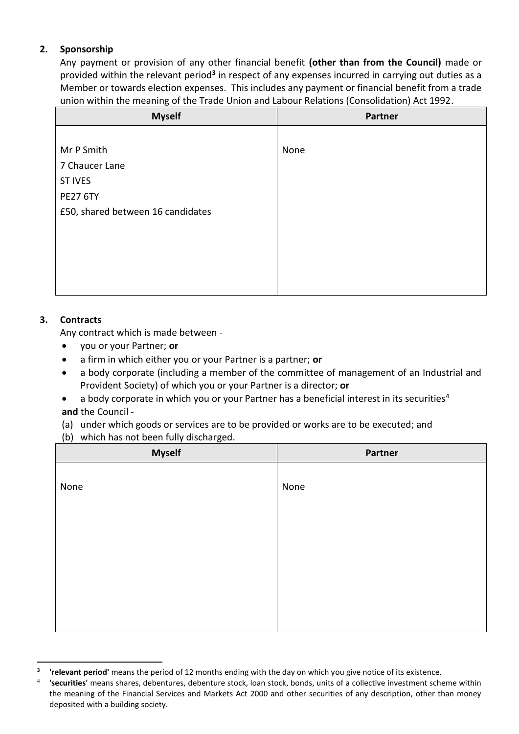### **2. Sponsorship**

Any payment or provision of any other financial benefit **(other than from the Council)** made or provided within the relevant period**<sup>3</sup>** in respect of any expenses incurred in carrying out duties as a Member or towards election expenses. This includes any payment or financial benefit from a trade union within the meaning of the Trade Union and Labour Relations (Consolidation) Act 1992.

| <b>Myself</b>                     | <b>Partner</b> |
|-----------------------------------|----------------|
|                                   |                |
| Mr P Smith                        | None           |
| 7 Chaucer Lane                    |                |
| <b>ST IVES</b>                    |                |
| <b>PE27 6TY</b>                   |                |
| £50, shared between 16 candidates |                |
|                                   |                |
|                                   |                |
|                                   |                |
|                                   |                |
|                                   |                |

## **3. Contracts**

Any contract which is made between -

- you or your Partner; **or**
- a firm in which either you or your Partner is a partner; **or**
- a body corporate (including a member of the committee of management of an Industrial and Provident Society) of which you or your Partner is a director; **or**
- a body corporate in which you or your Partner has a beneficial interest in its securities<sup>4</sup> **and** the Council -

(a) under which goods or services are to be provided or works are to be executed; and

(b) which has not been fully discharged.

| <b>Myself</b> | Partner |
|---------------|---------|
|               |         |
| None          | None    |
|               |         |
|               |         |
|               |         |
|               |         |
|               |         |
|               |         |
|               |         |

**<sup>3</sup> 'relevant period'** means the period of 12 months ending with the day on which you give notice of its existence.

<span id="page-1-0"></span><sup>4</sup> **'securities'** means shares, debentures, debenture stock, loan stock, bonds, units of a collective investment scheme within the meaning of the Financial Services and Markets Act 2000 and other securities of any description, other than money deposited with a building society.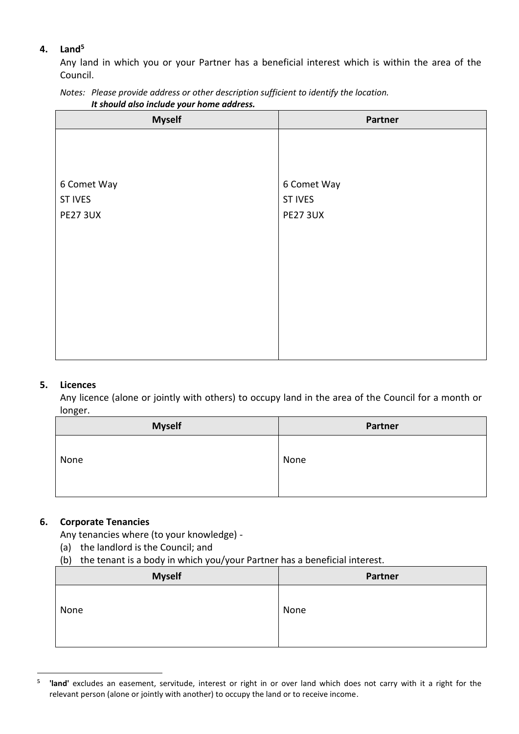## **4. Land<sup>5</sup>**

Any land in which you or your Partner has a beneficial interest which is within the area of the Council.

| It should also include your home address.                                               |
|-----------------------------------------------------------------------------------------|
| Notes: Please provide address or other description sufficient to identify the location. |

| <b>Myself</b>   | Partner         |
|-----------------|-----------------|
|                 |                 |
|                 |                 |
|                 |                 |
| 6 Comet Way     | 6 Comet Way     |
| <b>ST IVES</b>  | <b>ST IVES</b>  |
| <b>PE27 3UX</b> | <b>PE27 3UX</b> |
|                 |                 |
|                 |                 |
|                 |                 |
|                 |                 |
|                 |                 |
|                 |                 |
|                 |                 |
|                 |                 |
|                 |                 |

#### **5. Licences**

Any licence (alone or jointly with others) to occupy land in the area of the Council for a month or longer.

| <b>Myself</b> | <b>Partner</b> |
|---------------|----------------|
| None          | None           |

#### **6. Corporate Tenancies**

Any tenancies where (to your knowledge) -

- (a) the landlord is the Council; and
- (b) the tenant is a body in which you/your Partner has a beneficial interest.

| <b>Myself</b> | Partner |
|---------------|---------|
| None          | None    |

**<sup>5</sup> 'land'** excludes an easement, servitude, interest or right in or over land which does not carry with it a right for the relevant person (alone or jointly with another) to occupy the land or to receive income.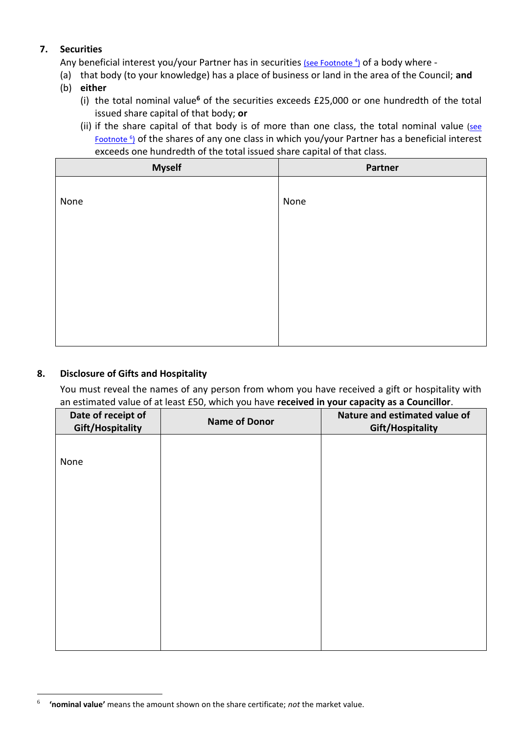### **7. Securities**

Any beneficial interest you/your Partner has in securities [\(see Footnote](#page-1-0) <sup>4</sup>) of a body where -

- (a) that body (to your knowledge) has a place of business or land in the area of the Council; **and**
- (b) **either**
	- (i) the total nominal value**<sup>6</sup>** of the securities exceeds £25,000 or one hundredth of the total issued share capital of that body; **or**
	- (ii) if the share capital of that body is of more than one class, the total nominal value [\(see](#page-3-0) [Footnote](#page-3-0) <sup>6</sup> ) of the shares of any one class in which you/your Partner has a beneficial interest exceeds one hundredth of the total issued share capital of that class.

| <b>Myself</b> | Partner |
|---------------|---------|
|               |         |
| None          | None    |
|               |         |
|               |         |
|               |         |
|               |         |
|               |         |
|               |         |
|               |         |

#### **8. Disclosure of Gifts and Hospitality**

You must reveal the names of any person from whom you have received a gift or hospitality with an estimated value of at least £50, which you have **received in your capacity as a Councillor**.

| Date of receipt of<br><b>Gift/Hospitality</b> | <b>Name of Donor</b> | Nature and estimated value of<br>Gift/Hospitality |
|-----------------------------------------------|----------------------|---------------------------------------------------|
|                                               |                      |                                                   |
| None                                          |                      |                                                   |
|                                               |                      |                                                   |
|                                               |                      |                                                   |
|                                               |                      |                                                   |
|                                               |                      |                                                   |
|                                               |                      |                                                   |
|                                               |                      |                                                   |
|                                               |                      |                                                   |

<span id="page-3-0"></span><sup>6</sup> **'nominal value'** means the amount shown on the share certificate; *not* the market value.